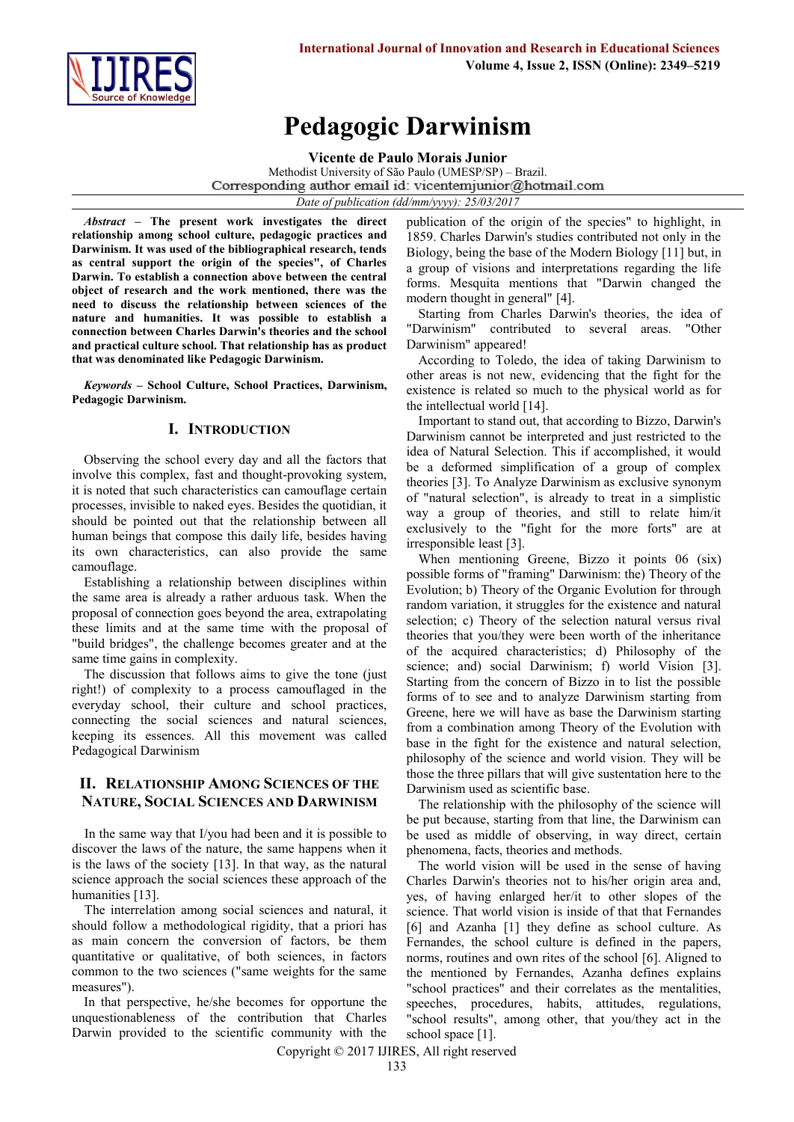

# **Pedagogic Darwinism**

**Vicente de Paulo Morais Junior**

Methodist University of São Paulo (UMESP/SP) – Brazil. Corresponding author email id: vicentemjunior@hotmail.com *Date of publication (dd/mm/yyyy): 25/03/2017*

*Abstract* **– The present work investigates the direct relationship among school culture, pedagogic practices and Darwinism. It was used of the bibliographical research, tends as central support the origin of the species", of Charles Darwin. To establish a connection above between the central object of research and the work mentioned, there was the need to discuss the relationship between sciences of the nature and humanities. It was possible to establish a connection between Charles Darwin's theories and the school and practical culture school. That relationship has as product that was denominated like Pedagogic Darwinism.**

*Keywords* **– School Culture, School Practices, Darwinism, Pedagogic Darwinism.**

## **I. INTRODUCTION**

Observing the school every day and all the factors that involve this complex, fast and thought-provoking system, it is noted that such characteristics can camouflage certain processes, invisible to naked eyes. Besides the quotidian, it should be pointed out that the relationship between all human beings that compose this daily life, besides having its own characteristics, can also provide the same camouflage.

Establishing a relationship between disciplines within the same area is already a rather arduous task. When the proposal of connection goes beyond the area, extrapolating these limits and at the same time with the proposal of "build bridges", the challenge becomes greater and at the same time gains in complexity.

The discussion that follows aims to give the tone (just right!) of complexity to a process camouflaged in the everyday school, their culture and school practices, connecting the social sciences and natural sciences, keeping its essences. All this movement was called Pedagogical Darwinism

# **II. RELATIONSHIP AMONG SCIENCES OF THE NATURE, SOCIAL SCIENCES AND DARWINISM**

In the same way that I/you had been and it is possible to discover the laws of the nature, the same happens when it is the laws of the society [13]. In that way, as the natural science approach the social sciences these approach of the humanities [13].

The interrelation among social sciences and natural, it should follow a methodological rigidity, that a priori has as main concern the conversion of factors, be them quantitative or qualitative, of both sciences, in factors common to the two sciences ("same weights for the same measures").

In that perspective, he/she becomes for opportune the unquestionableness of the contribution that Charles Darwin provided to the scientific community with the publication of the origin of the species" to highlight, in 1859. Charles Darwin's studies contributed not only in the Biology, being the base of the Modern Biology [11] but, in a group of visions and interpretations regarding the life forms. Mesquita mentions that "Darwin changed the modern thought in general" [4].

Starting from Charles Darwin's theories, the idea of "Darwinism" contributed to several areas. "Other Darwinism" appeared!

According to Toledo, the idea of taking Darwinism to other areas is not new, evidencing that the fight for the existence is related so much to the physical world as for the intellectual world [14].

Important to stand out, that according to Bizzo, Darwin's Darwinism cannot be interpreted and just restricted to the idea of Natural Selection. This if accomplished, it would be a deformed simplification of a group of complex theories [3]. To Analyze Darwinism as exclusive synonym of "natural selection", is already to treat in a simplistic way a group of theories, and still to relate him/it exclusively to the "fight for the more forts" are at irresponsible least [3].

When mentioning Greene, Bizzo it points 06 (six) possible forms of "framing" Darwinism: the) Theory of the Evolution; b) Theory of the Organic Evolution for through random variation, it struggles for the existence and natural selection; c) Theory of the selection natural versus rival theories that you/they were been worth of the inheritance of the acquired characteristics; d) Philosophy of the science; and) social Darwinism; f) world Vision [3]. Starting from the concern of Bizzo in to list the possible forms of to see and to analyze Darwinism starting from Greene, here we will have as base the Darwinism starting from a combination among Theory of the Evolution with base in the fight for the existence and natural selection, philosophy of the science and world vision. They will be those the three pillars that will give sustentation here to the Darwinism used as scientific base.

The relationship with the philosophy of the science will be put because, starting from that line, the Darwinism can be used as middle of observing, in way direct, certain phenomena, facts, theories and methods.

The world vision will be used in the sense of having Charles Darwin's theories not to his/her origin area and, yes, of having enlarged her/it to other slopes of the science. That world vision is inside of that that Fernandes [6] and Azanha [1] they define as school culture. As Fernandes, the school culture is defined in the papers, norms, routines and own rites of the school [6]. Aligned to the mentioned by Fernandes, Azanha defines explains "school practices" and their correlates as the mentalities, speeches, procedures, habits, attitudes, regulations, "school results", among other, that you/they act in the school space [1].

Copyright © 2017 IJIRES, All right reserved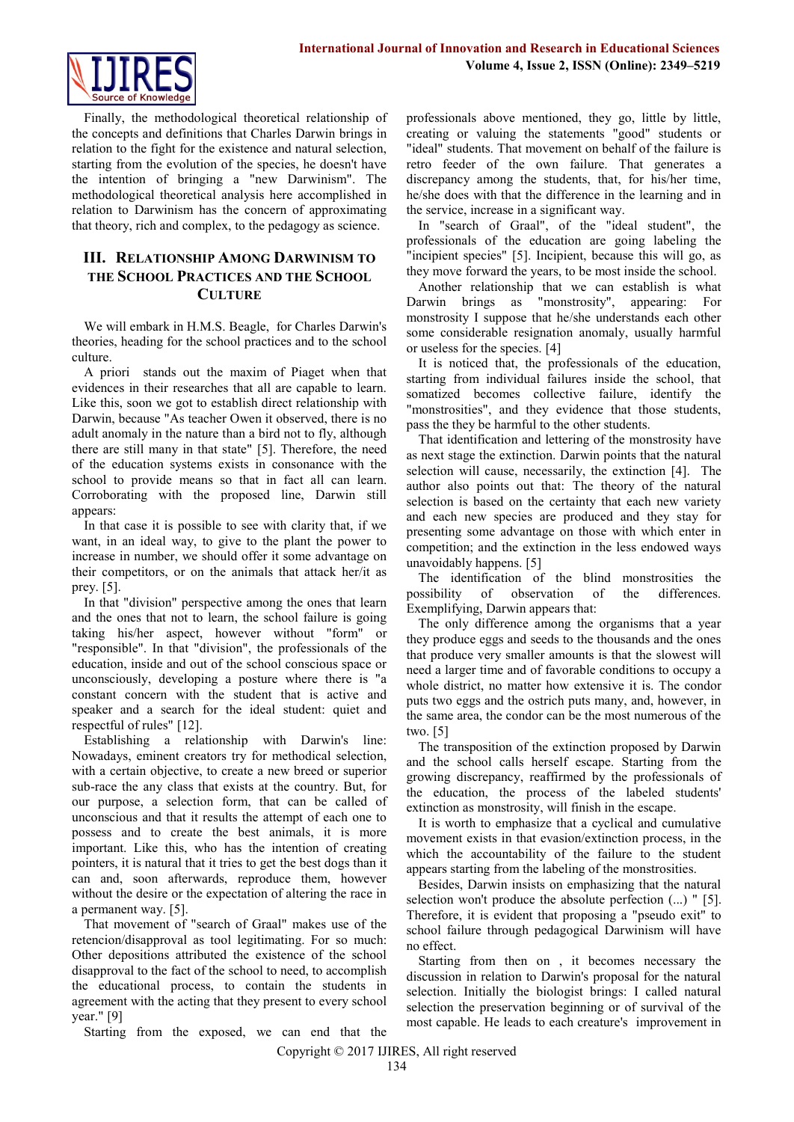

Finally, the methodological theoretical relationship of the concepts and definitions that Charles Darwin brings in relation to the fight for the existence and natural selection, starting from the evolution of the species, he doesn't have the intention of bringing a "new Darwinism". The methodological theoretical analysis here accomplished in relation to Darwinism has the concern of approximating that theory, rich and complex, to the pedagogy as science.

# **III. RELATIONSHIP AMONG DARWINISM TO THE SCHOOL PRACTICES AND THE SCHOOL CULTURE**

We will embark in H.M.S. Beagle, for Charles Darwin's theories, heading for the school practices and to the school culture.

A priori stands out the maxim of Piaget when that evidences in their researches that all are capable to learn. Like this, soon we got to establish direct relationship with Darwin, because "As teacher Owen it observed, there is no adult anomaly in the nature than a bird not to fly, although there are still many in that state" [5]. Therefore, the need of the education systems exists in consonance with the school to provide means so that in fact all can learn. Corroborating with the proposed line, Darwin still appears:

In that case it is possible to see with clarity that, if we want, in an ideal way, to give to the plant the power to increase in number, we should offer it some advantage on their competitors, or on the animals that attack her/it as prey. [5].

In that "division" perspective among the ones that learn and the ones that not to learn, the school failure is going taking his/her aspect, however without "form" or "responsible". In that "division", the professionals of the education, inside and out of the school conscious space or unconsciously, developing a posture where there is "a constant concern with the student that is active and speaker and a search for the ideal student: quiet and respectful of rules" [12].

Establishing a relationship with Darwin's line: Nowadays, eminent creators try for methodical selection, with a certain objective, to create a new breed or superior sub-race the any class that exists at the country. But, for our purpose, a selection form, that can be called of unconscious and that it results the attempt of each one to possess and to create the best animals, it is more important. Like this, who has the intention of creating pointers, it is natural that it tries to get the best dogs than it can and, soon afterwards, reproduce them, however without the desire or the expectation of altering the race in a permanent way. [5].

That movement of "search of Graal" makes use of the retencion/disapproval as tool legitimating. For so much: Other depositions attributed the existence of the school disapproval to the fact of the school to need, to accomplish the educational process, to contain the students in agreement with the acting that they present to every school year." [9]

Starting from the exposed, we can end that the

professionals above mentioned, they go, little by little, creating or valuing the statements "good" students or "ideal" students. That movement on behalf of the failure is retro feeder of the own failure. That generates a discrepancy among the students, that, for his/her time, he/she does with that the difference in the learning and in the service, increase in a significant way.

In "search of Graal", of the "ideal student", the professionals of the education are going labeling the "incipient species" [5]. Incipient, because this will go, as they move forward the years, to be most inside the school.

Another relationship that we can establish is what Darwin brings as "monstrosity", appearing: For monstrosity I suppose that he/she understands each other some considerable resignation anomaly, usually harmful or useless for the species. [4]

It is noticed that, the professionals of the education, starting from individual failures inside the school, that somatized becomes collective failure, identify the "monstrosities", and they evidence that those students, pass the they be harmful to the other students.

That identification and lettering of the monstrosity have as next stage the extinction. Darwin points that the natural selection will cause, necessarily, the extinction [4]. The author also points out that: The theory of the natural selection is based on the certainty that each new variety and each new species are produced and they stay for presenting some advantage on those with which enter in competition; and the extinction in the less endowed ways unavoidably happens. [5]

The identification of the blind monstrosities the possibility of observation of the differences. Exemplifying, Darwin appears that:

The only difference among the organisms that a year they produce eggs and seeds to the thousands and the ones that produce very smaller amounts is that the slowest will need a larger time and of favorable conditions to occupy a whole district, no matter how extensive it is. The condor puts two eggs and the ostrich puts many, and, however, in the same area, the condor can be the most numerous of the two. [5]

The transposition of the extinction proposed by Darwin and the school calls herself escape. Starting from the growing discrepancy, reaffirmed by the professionals of the education, the process of the labeled students' extinction as monstrosity, will finish in the escape.

It is worth to emphasize that a cyclical and cumulative movement exists in that evasion/extinction process, in the which the accountability of the failure to the student appears starting from the labeling of the monstrosities.

Besides, Darwin insists on emphasizing that the natural selection won't produce the absolute perfection (...) " [5]. Therefore, it is evident that proposing a "pseudo exit" to school failure through pedagogical Darwinism will have no effect.

Starting from then on , it becomes necessary the discussion in relation to Darwin's proposal for the natural selection. Initially the biologist brings: I called natural selection the preservation beginning or of survival of the most capable. He leads to each creature's improvement in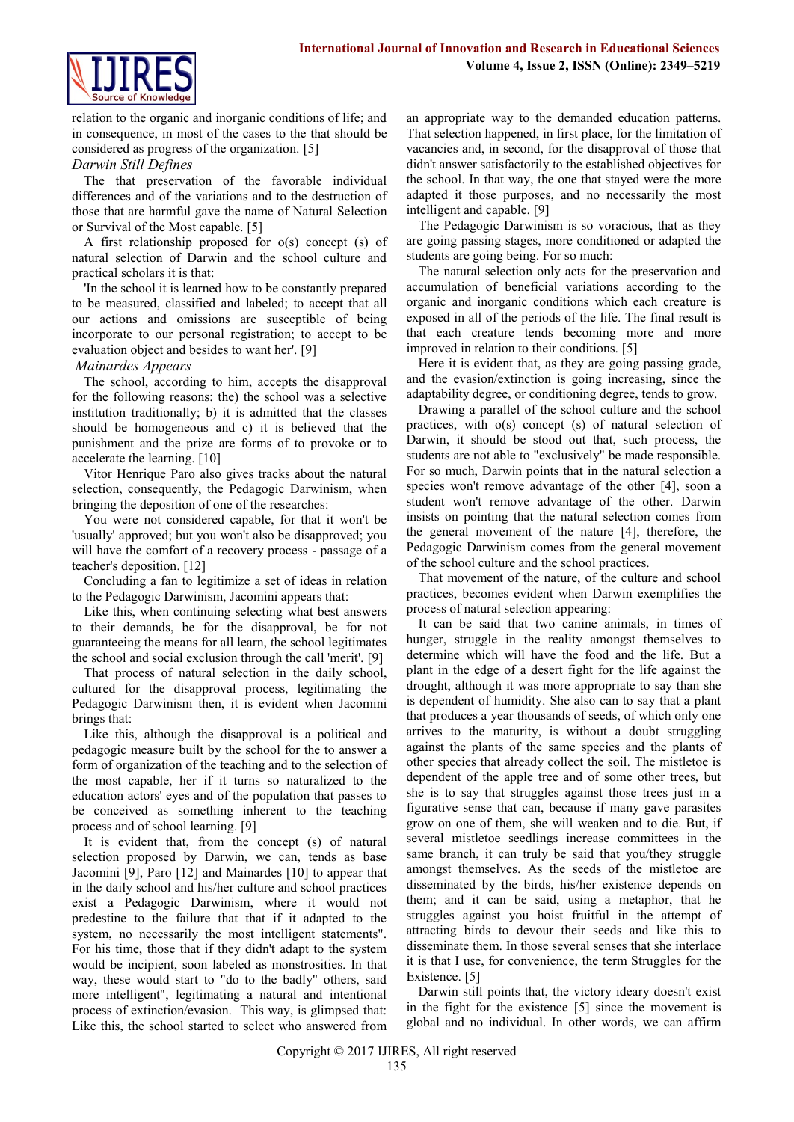

relation to the organic and inorganic conditions of life; and in consequence, in most of the cases to the that should be considered as progress of the organization. [5]

#### *Darwin Still Defines*

The that preservation of the favorable individual differences and of the variations and to the destruction of those that are harmful gave the name of Natural Selection or Survival of the Most capable. [5]

A first relationship proposed for o(s) concept (s) of natural selection of Darwin and the school culture and practical scholars it is that:

'In the school it is learned how to be constantly prepared to be measured, classified and labeled; to accept that all our actions and omissions are susceptible of being incorporate to our personal registration; to accept to be evaluation object and besides to want her'. [9]

## *Mainardes Appears*

The school, according to him, accepts the disapproval for the following reasons: the) the school was a selective institution traditionally; b) it is admitted that the classes should be homogeneous and c) it is believed that the punishment and the prize are forms of to provoke or to accelerate the learning. [10]

Vitor Henrique Paro also gives tracks about the natural selection, consequently, the Pedagogic Darwinism, when bringing the deposition of one of the researches:

You were not considered capable, for that it won't be 'usually' approved; but you won't also be disapproved; you will have the comfort of a recovery process - passage of a teacher's deposition. [12]

Concluding a fan to legitimize a set of ideas in relation to the Pedagogic Darwinism, Jacomini appears that:

Like this, when continuing selecting what best answers to their demands, be for the disapproval, be for not guaranteeing the means for all learn, the school legitimates the school and social exclusion through the call 'merit'. [9]

That process of natural selection in the daily school, cultured for the disapproval process, legitimating the Pedagogic Darwinism then, it is evident when Jacomini brings that:

Like this, although the disapproval is a political and pedagogic measure built by the school for the to answer a form of organization of the teaching and to the selection of the most capable, her if it turns so naturalized to the education actors' eyes and of the population that passes to be conceived as something inherent to the teaching process and of school learning. [9]

It is evident that, from the concept (s) of natural selection proposed by Darwin, we can, tends as base Jacomini [9], Paro [12] and Mainardes [10] to appear that in the daily school and his/her culture and school practices exist a Pedagogic Darwinism, where it would not predestine to the failure that that if it adapted to the system, no necessarily the most intelligent statements". For his time, those that if they didn't adapt to the system would be incipient, soon labeled as monstrosities. In that way, these would start to "do to the badly" others, said more intelligent", legitimating a natural and intentional process of extinction/evasion. This way, is glimpsed that: Like this, the school started to select who answered from an appropriate way to the demanded education patterns. That selection happened, in first place, for the limitation of vacancies and, in second, for the disapproval of those that didn't answer satisfactorily to the established objectives for the school. In that way, the one that stayed were the more adapted it those purposes, and no necessarily the most intelligent and capable. [9]

The Pedagogic Darwinism is so voracious, that as they are going passing stages, more conditioned or adapted the students are going being. For so much:

The natural selection only acts for the preservation and accumulation of beneficial variations according to the organic and inorganic conditions which each creature is exposed in all of the periods of the life. The final result is that each creature tends becoming more and more improved in relation to their conditions. [5]

Here it is evident that, as they are going passing grade, and the evasion/extinction is going increasing, since the adaptability degree, or conditioning degree, tends to grow.

Drawing a parallel of the school culture and the school practices, with o(s) concept (s) of natural selection of Darwin, it should be stood out that, such process, the students are not able to "exclusively" be made responsible. For so much, Darwin points that in the natural selection a species won't remove advantage of the other [4], soon a student won't remove advantage of the other. Darwin insists on pointing that the natural selection comes from the general movement of the nature [4], therefore, the Pedagogic Darwinism comes from the general movement of the school culture and the school practices.

That movement of the nature, of the culture and school practices, becomes evident when Darwin exemplifies the process of natural selection appearing:

It can be said that two canine animals, in times of hunger, struggle in the reality amongst themselves to determine which will have the food and the life. But a plant in the edge of a desert fight for the life against the drought, although it was more appropriate to say than she is dependent of humidity. She also can to say that a plant that produces a year thousands of seeds, of which only one arrives to the maturity, is without a doubt struggling against the plants of the same species and the plants of other species that already collect the soil. The mistletoe is dependent of the apple tree and of some other trees, but she is to say that struggles against those trees just in a figurative sense that can, because if many gave parasites grow on one of them, she will weaken and to die. But, if several mistletoe seedlings increase committees in the same branch, it can truly be said that you/they struggle amongst themselves. As the seeds of the mistletoe are disseminated by the birds, his/her existence depends on them; and it can be said, using a metaphor, that he struggles against you hoist fruitful in the attempt of attracting birds to devour their seeds and like this to disseminate them. In those several senses that she interlace it is that I use, for convenience, the term Struggles for the Existence. [5]

Darwin still points that, the victory ideary doesn't exist in the fight for the existence [5] since the movement is global and no individual. In other words, we can affirm